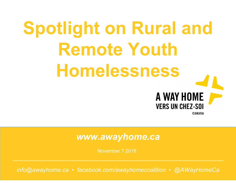# **Spotlight on Rural and Remote Youth Homelessness**

#### **VERS UN CHEZ-SOI** CANADA

A WAY HOME

#### *www.awayhome.ca*

November 7 2018

*info@awayhome.ca • facebook.com/awayhomecoalition • @AWayHomeCa*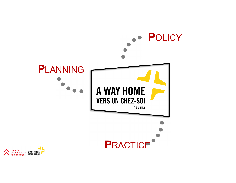

canadian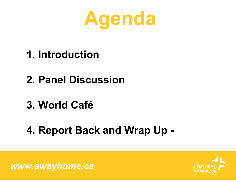

- **1. Introduction**
- **2. Panel Discussion**
- **3. World Café**
- **4. Report Back and Wrap Up -**

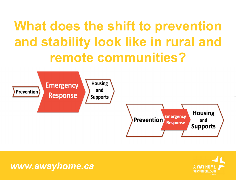### **What does the shift to prevention and stability look like in rural and remote communities?**



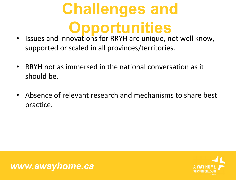### **Challenges and Opportunities**

- Issues and innovations for RRYH are unique, not well know, supported or scaled in all provinces/territories.
- $\bullet$  RRYH not as immersed in the national conversation as it should be.
- $\bullet$  Absence of relevant research and mechanisms to share best practice.



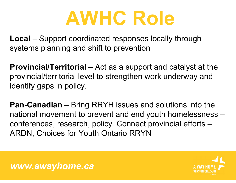## **AWHC Role**

**Local** – Support coordinated responses locally through systems planning and shift to prevention

**Provincial/Territorial** – Act as a support and catalyst at the provincial/territorial level to strengthen work underway and identify gaps in policy.

**Pan-Canadian** – Bring RRYH issues and solutions into the national movement to prevent and end youth homelessness – conferences, research, policy. Connect provincial efforts – ARDN, Choices for Youth Ontario RRYN



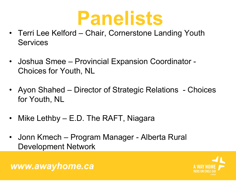### **Panelists**

- Terri Lee Kelford Chair, Cornerstone Landing Youth **Services**
- Joshua Smee Provincial Expansion Coordinator Choices for Youth, NL
- Ayon Shahed Director of Strategic Relations Choices for Youth, NL
- •Mike Lethby – E.D. The RAFT, Niagara
- Jonn Kmech Program Manager Alberta Rural Development Network

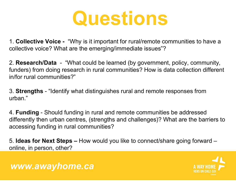

1. **Collective Voice -** "Why is it important for rural/remote communities to have a collective voice? What are the emerging/immediate issues"?

2. **Research/Data** - "What could be learned (by government, policy, community, funders) from doing research in rural communities? How is data collection different in/for rural communities?"

3. **Strengths** - "Identify what distinguishes rural and remote responses from urban."

4. **Funding** - Should funding in rural and remote communities be addressed differently then urban centres, (strengths and challenges)? What are the barriers to accessing funding in rural communities?

5. **Ideas for Next Steps –** How would you like to connect/share going forward – online, in person, other?

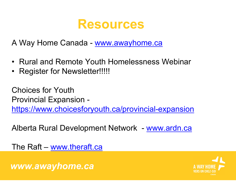

A Way Home Canada - www.awayhome.ca

- Rural and Remote Youth Homelessness Webinar
- •Register for Newsletter!!!!!

Choices for YouthProvincial Expansion https://www.choicesforyouth.ca/provincial-expansion

Alberta Rural Development Network - www.ardn.ca

The Raft – www.theraft.ca